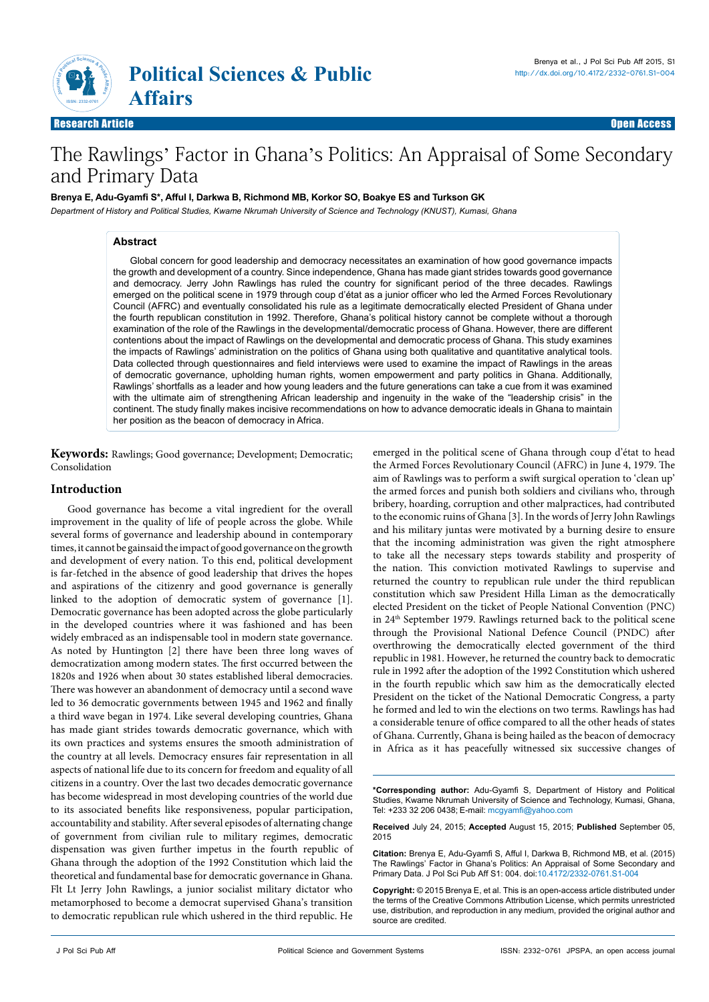

# The Rawlings' Factor in Ghana's Politics: An Appraisal of Some Secondary and Primary Data

#### **Brenya E, Adu-Gyamfi S\*, Afful I, Darkwa B, Richmond MB, Korkor SO, Boakye ES and Turkson GK**

*Department of History and Political Studies, Kwame Nkrumah University of Science and Technology (KNUST), Kumasi, Ghana*

## **Abstract**

Global concern for good leadership and democracy necessitates an examination of how good governance impacts the growth and development of a country. Since independence, Ghana has made giant strides towards good governance and democracy. Jerry John Rawlings has ruled the country for significant period of the three decades. Rawlings emerged on the political scene in 1979 through coup d'état as a junior officer who led the Armed Forces Revolutionary Council (AFRC) and eventually consolidated his rule as a legitimate democratically elected President of Ghana under the fourth republican constitution in 1992. Therefore, Ghana's political history cannot be complete without a thorough examination of the role of the Rawlings in the developmental/democratic process of Ghana. However, there are different contentions about the impact of Rawlings on the developmental and democratic process of Ghana. This study examines the impacts of Rawlings' administration on the politics of Ghana using both qualitative and quantitative analytical tools. Data collected through questionnaires and field interviews were used to examine the impact of Rawlings in the areas of democratic governance, upholding human rights, women empowerment and party politics in Ghana. Additionally, Rawlings' shortfalls as a leader and how young leaders and the future generations can take a cue from it was examined with the ultimate aim of strengthening African leadership and ingenuity in the wake of the "leadership crisis" in the continent. The study finally makes incisive recommendations on how to advance democratic ideals in Ghana to maintain her position as the beacon of democracy in Africa.

**Keywords:** Rawlings; Good governance; Development; Democratic; Consolidation

# **Introduction**

Good governance has become a vital ingredient for the overall improvement in the quality of life of people across the globe. While several forms of governance and leadership abound in contemporary times, it cannot be gainsaid the impact of good governance on the growth and development of every nation. To this end, political development is far-fetched in the absence of good leadership that drives the hopes and aspirations of the citizenry and good governance is generally linked to the adoption of democratic system of governance [1]. Democratic governance has been adopted across the globe particularly in the developed countries where it was fashioned and has been widely embraced as an indispensable tool in modern state governance. As noted by Huntington [2] there have been three long waves of democratization among modern states. The first occurred between the 1820s and 1926 when about 30 states established liberal democracies. There was however an abandonment of democracy until a second wave led to 36 democratic governments between 1945 and 1962 and finally a third wave began in 1974. Like several developing countries, Ghana has made giant strides towards democratic governance, which with its own practices and systems ensures the smooth administration of the country at all levels. Democracy ensures fair representation in all aspects of national life due to its concern for freedom and equality of all citizens in a country. Over the last two decades democratic governance has become widespread in most developing countries of the world due to its associated benefits like responsiveness, popular participation, accountability and stability. After several episodes of alternating change of government from civilian rule to military regimes, democratic dispensation was given further impetus in the fourth republic of Ghana through the adoption of the 1992 Constitution which laid the theoretical and fundamental base for democratic governance in Ghana. Flt Lt Jerry John Rawlings, a junior socialist military dictator who metamorphosed to become a democrat supervised Ghana's transition to democratic republican rule which ushered in the third republic. He

emerged in the political scene of Ghana through coup d'état to head the Armed Forces Revolutionary Council (AFRC) in June 4, 1979. The aim of Rawlings was to perform a swift surgical operation to 'clean up' the armed forces and punish both soldiers and civilians who, through bribery, hoarding, corruption and other malpractices, had contributed to the economic ruins of Ghana [3]. In the words of Jerry John Rawlings and his military juntas were motivated by a burning desire to ensure that the incoming administration was given the right atmosphere to take all the necessary steps towards stability and prosperity of the nation. This conviction motivated Rawlings to supervise and returned the country to republican rule under the third republican constitution which saw President Hilla Liman as the democratically elected President on the ticket of People National Convention (PNC) in 24<sup>th</sup> September 1979. Rawlings returned back to the political scene through the Provisional National Defence Council (PNDC) after overthrowing the democratically elected government of the third republic in 1981. However, he returned the country back to democratic rule in 1992 after the adoption of the 1992 Constitution which ushered in the fourth republic which saw him as the democratically elected President on the ticket of the National Democratic Congress, a party he formed and led to win the elections on two terms. Rawlings has had a considerable tenure of office compared to all the other heads of states of Ghana. Currently, Ghana is being hailed as the beacon of democracy in Africa as it has peacefully witnessed six successive changes of

**\*Corresponding author:** Adu-Gyamfi S, Department of History and Political Studies, Kwame Nkrumah University of Science and Technology, Kumasi, Ghana, Tel: +233 32 206 0438; E-mail: mcgyamfi@yahoo.com

**Received** July 24, 2015; **Accepted** August 15, 2015; **Published** September 05, 2015

**Citation:** Brenya E, Adu-Gyamfi S, Afful I, Darkwa B, Richmond MB, et al. (2015) The Rawlings' Factor in Ghana's Politics: An Appraisal of Some Secondary and Primary Data. J Pol Sci Pub Aff S1: 004. doi:[10.4172/2332-0761.S1-004](http://dx.doi.org/10.4172/2332-0761.S1-004)

**Copyright:** © 2015 Brenya E, et al. This is an open-access article distributed under the terms of the Creative Commons Attribution License, which permits unrestricted use, distribution, and reproduction in any medium, provided the original author and source are credited.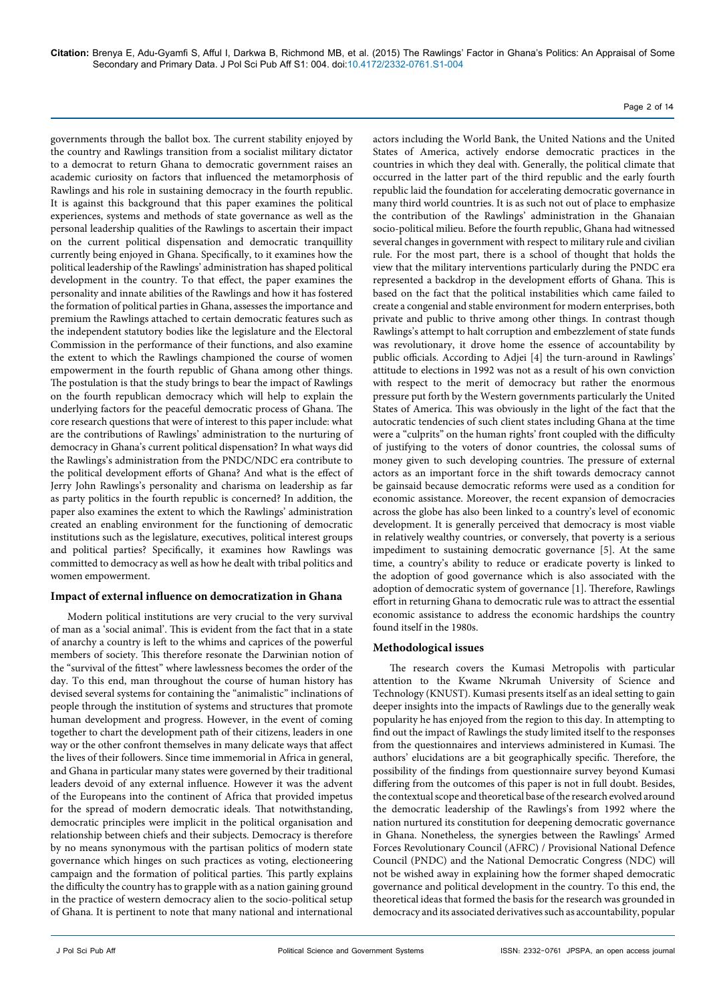Page 2 of 14

governments through the ballot box. The current stability enjoyed by the country and Rawlings transition from a socialist military dictator to a democrat to return Ghana to democratic government raises an academic curiosity on factors that influenced the metamorphosis of Rawlings and his role in sustaining democracy in the fourth republic. It is against this background that this paper examines the political experiences, systems and methods of state governance as well as the personal leadership qualities of the Rawlings to ascertain their impact on the current political dispensation and democratic tranquillity currently being enjoyed in Ghana. Specifically, to it examines how the political leadership of the Rawlings' administration has shaped political development in the country. To that effect, the paper examines the personality and innate abilities of the Rawlings and how it has fostered the formation of political parties in Ghana, assesses the importance and premium the Rawlings attached to certain democratic features such as the independent statutory bodies like the legislature and the Electoral Commission in the performance of their functions, and also examine the extent to which the Rawlings championed the course of women empowerment in the fourth republic of Ghana among other things. The postulation is that the study brings to bear the impact of Rawlings on the fourth republican democracy which will help to explain the underlying factors for the peaceful democratic process of Ghana. The core research questions that were of interest to this paper include: what are the contributions of Rawlings' administration to the nurturing of democracy in Ghana's current political dispensation? In what ways did the Rawlings's administration from the PNDC/NDC era contribute to the political development efforts of Ghana? And what is the effect of Jerry John Rawlings's personality and charisma on leadership as far as party politics in the fourth republic is concerned? In addition, the paper also examines the extent to which the Rawlings' administration created an enabling environment for the functioning of democratic institutions such as the legislature, executives, political interest groups and political parties? Specifically, it examines how Rawlings was committed to democracy as well as how he dealt with tribal politics and women empowerment.

## **Impact of external influence on democratization in Ghana**

Modern political institutions are very crucial to the very survival of man as a 'social animal'. This is evident from the fact that in a state of anarchy a country is left to the whims and caprices of the powerful members of society. This therefore resonate the Darwinian notion of the "survival of the fittest" where lawlessness becomes the order of the day. To this end, man throughout the course of human history has devised several systems for containing the "animalistic" inclinations of people through the institution of systems and structures that promote human development and progress. However, in the event of coming together to chart the development path of their citizens, leaders in one way or the other confront themselves in many delicate ways that affect the lives of their followers. Since time immemorial in Africa in general, and Ghana in particular many states were governed by their traditional leaders devoid of any external influence. However it was the advent of the Europeans into the continent of Africa that provided impetus for the spread of modern democratic ideals. That notwithstanding, democratic principles were implicit in the political organisation and relationship between chiefs and their subjects. Democracy is therefore by no means synonymous with the partisan politics of modern state governance which hinges on such practices as voting, electioneering campaign and the formation of political parties. This partly explains the difficulty the country has to grapple with as a nation gaining ground in the practice of western democracy alien to the socio-political setup of Ghana. It is pertinent to note that many national and international

actors including the World Bank, the United Nations and the United States of America, actively endorse democratic practices in the countries in which they deal with. Generally, the political climate that occurred in the latter part of the third republic and the early fourth republic laid the foundation for accelerating democratic governance in many third world countries. It is as such not out of place to emphasize the contribution of the Rawlings' administration in the Ghanaian socio-political milieu. Before the fourth republic, Ghana had witnessed several changes in government with respect to military rule and civilian rule. For the most part, there is a school of thought that holds the view that the military interventions particularly during the PNDC era represented a backdrop in the development efforts of Ghana. This is based on the fact that the political instabilities which came failed to create a congenial and stable environment for modern enterprises, both private and public to thrive among other things. In contrast though Rawlings's attempt to halt corruption and embezzlement of state funds was revolutionary, it drove home the essence of accountability by public officials. According to Adjei [4] the turn-around in Rawlings' attitude to elections in 1992 was not as a result of his own conviction with respect to the merit of democracy but rather the enormous pressure put forth by the Western governments particularly the United States of America. This was obviously in the light of the fact that the autocratic tendencies of such client states including Ghana at the time were a "culprits" on the human rights' front coupled with the difficulty of justifying to the voters of donor countries, the colossal sums of money given to such developing countries. The pressure of external actors as an important force in the shift towards democracy cannot be gainsaid because democratic reforms were used as a condition for economic assistance. Moreover, the recent expansion of democracies across the globe has also been linked to a country's level of economic development. It is generally perceived that democracy is most viable in relatively wealthy countries, or conversely, that poverty is a serious impediment to sustaining democratic governance [5]. At the same time, a country's ability to reduce or eradicate poverty is linked to the adoption of good governance which is also associated with the adoption of democratic system of governance [1]. Therefore, Rawlings effort in returning Ghana to democratic rule was to attract the essential economic assistance to address the economic hardships the country found itself in the 1980s.

## **Methodological issues**

The research covers the Kumasi Metropolis with particular attention to the Kwame Nkrumah University of Science and Technology (KNUST). Kumasi presents itself as an ideal setting to gain deeper insights into the impacts of Rawlings due to the generally weak popularity he has enjoyed from the region to this day. In attempting to find out the impact of Rawlings the study limited itself to the responses from the questionnaires and interviews administered in Kumasi. The authors' elucidations are a bit geographically specific. Therefore, the possibility of the findings from questionnaire survey beyond Kumasi differing from the outcomes of this paper is not in full doubt. Besides, the contextual scope and theoretical base of the research evolved around the democratic leadership of the Rawlings's from 1992 where the nation nurtured its constitution for deepening democratic governance in Ghana. Nonetheless, the synergies between the Rawlings' Armed Forces Revolutionary Council (AFRC) / Provisional National Defence Council (PNDC) and the National Democratic Congress (NDC) will not be wished away in explaining how the former shaped democratic governance and political development in the country. To this end, the theoretical ideas that formed the basis for the research was grounded in democracy and its associated derivatives such as accountability, popular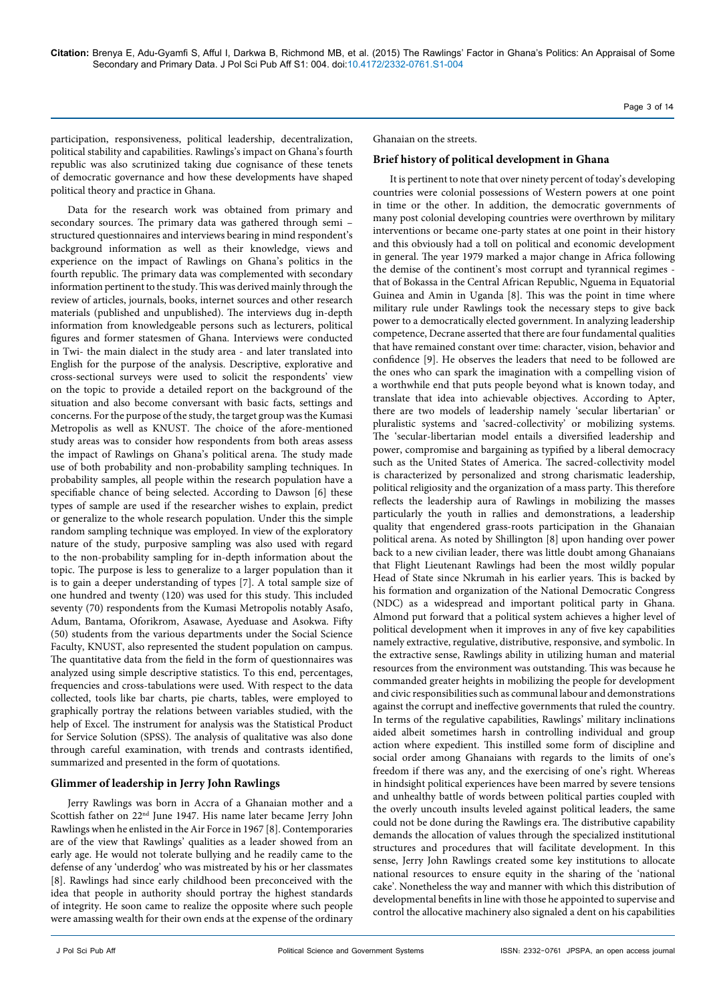participation, responsiveness, political leadership, decentralization, political stability and capabilities. Rawlings's impact on Ghana's fourth republic was also scrutinized taking due cognisance of these tenets of democratic governance and how these developments have shaped political theory and practice in Ghana.

Data for the research work was obtained from primary and secondary sources. The primary data was gathered through semi – structured questionnaires and interviews bearing in mind respondent's background information as well as their knowledge, views and experience on the impact of Rawlings on Ghana's politics in the fourth republic. The primary data was complemented with secondary information pertinent to the study. This was derived mainly through the review of articles, journals, books, internet sources and other research materials (published and unpublished). The interviews dug in-depth information from knowledgeable persons such as lecturers, political figures and former statesmen of Ghana. Interviews were conducted in Twi- the main dialect in the study area - and later translated into English for the purpose of the analysis. Descriptive, explorative and cross-sectional surveys were used to solicit the respondents' view on the topic to provide a detailed report on the background of the situation and also become conversant with basic facts, settings and concerns. For the purpose of the study, the target group was the Kumasi Metropolis as well as KNUST. The choice of the afore-mentioned study areas was to consider how respondents from both areas assess the impact of Rawlings on Ghana's political arena. The study made use of both probability and non-probability sampling techniques. In probability samples, all people within the research population have a specifiable chance of being selected. According to Dawson [6] these types of sample are used if the researcher wishes to explain, predict or generalize to the whole research population. Under this the simple random sampling technique was employed. In view of the exploratory nature of the study, purposive sampling was also used with regard to the non-probability sampling for in-depth information about the topic. The purpose is less to generalize to a larger population than it is to gain a deeper understanding of types [7]. A total sample size of one hundred and twenty (120) was used for this study. This included seventy (70) respondents from the Kumasi Metropolis notably Asafo, Adum, Bantama, Oforikrom, Asawase, Ayeduase and Asokwa. Fifty (50) students from the various departments under the Social Science Faculty, KNUST, also represented the student population on campus. The quantitative data from the field in the form of questionnaires was analyzed using simple descriptive statistics. To this end, percentages, frequencies and cross-tabulations were used. With respect to the data collected, tools like bar charts, pie charts, tables, were employed to graphically portray the relations between variables studied, with the help of Excel. The instrument for analysis was the Statistical Product for Service Solution (SPSS). The analysis of qualitative was also done through careful examination, with trends and contrasts identified, summarized and presented in the form of quotations.

## **Glimmer of leadership in Jerry John Rawlings**

Jerry Rawlings was born in Accra of a Ghanaian mother and a Scottish father on 22<sup>nd</sup> June 1947. His name later became Jerry John Rawlings when he enlisted in the Air Force in 1967 [8]. Contemporaries are of the view that Rawlings' qualities as a leader showed from an early age. He would not tolerate bullying and he readily came to the defense of any 'underdog' who was mistreated by his or her classmates [8]. Rawlings had since early childhood been preconceived with the idea that people in authority should portray the highest standards of integrity. He soon came to realize the opposite where such people were amassing wealth for their own ends at the expense of the ordinary

Ghanaian on the streets.

#### **Brief history of political development in Ghana**

It is pertinent to note that over ninety percent of today's developing countries were colonial possessions of Western powers at one point in time or the other. In addition, the democratic governments of many post colonial developing countries were overthrown by military interventions or became one-party states at one point in their history and this obviously had a toll on political and economic development in general. The year 1979 marked a major change in Africa following the demise of the continent's most corrupt and tyrannical regimes that of Bokassa in the Central African Republic, Nguema in Equatorial Guinea and Amin in Uganda [8]. This was the point in time where military rule under Rawlings took the necessary steps to give back power to a democratically elected government. In analyzing leadership competence, Decrane asserted that there are four fundamental qualities that have remained constant over time: character, vision, behavior and confidence [9]. He observes the leaders that need to be followed are the ones who can spark the imagination with a compelling vision of a worthwhile end that puts people beyond what is known today, and translate that idea into achievable objectives. According to Apter, there are two models of leadership namely 'secular libertarian' or pluralistic systems and 'sacred-collectivity' or mobilizing systems. The 'secular-libertarian model entails a diversified leadership and power, compromise and bargaining as typified by a liberal democracy such as the United States of America. The sacred-collectivity model is characterized by personalized and strong charismatic leadership, political religiosity and the organization of a mass party. This therefore reflects the leadership aura of Rawlings in mobilizing the masses particularly the youth in rallies and demonstrations, a leadership quality that engendered grass-roots participation in the Ghanaian political arena. As noted by Shillington [8] upon handing over power back to a new civilian leader, there was little doubt among Ghanaians that Flight Lieutenant Rawlings had been the most wildly popular Head of State since Nkrumah in his earlier years. This is backed by his formation and organization of the National Democratic Congress (NDC) as a widespread and important political party in Ghana. Almond put forward that a political system achieves a higher level of political development when it improves in any of five key capabilities namely extractive, regulative, distributive, responsive, and symbolic. In the extractive sense, Rawlings ability in utilizing human and material resources from the environment was outstanding. This was because he commanded greater heights in mobilizing the people for development and civic responsibilities such as communal labour and demonstrations against the corrupt and ineffective governments that ruled the country. In terms of the regulative capabilities, Rawlings' military inclinations aided albeit sometimes harsh in controlling individual and group action where expedient. This instilled some form of discipline and social order among Ghanaians with regards to the limits of one's freedom if there was any, and the exercising of one's right. Whereas in hindsight political experiences have been marred by severe tensions and unhealthy battle of words between political parties coupled with the overly uncouth insults leveled against political leaders, the same could not be done during the Rawlings era. The distributive capability demands the allocation of values through the specialized institutional structures and procedures that will facilitate development. In this sense, Jerry John Rawlings created some key institutions to allocate national resources to ensure equity in the sharing of the 'national cake'. Nonetheless the way and manner with which this distribution of developmental benefits in line with those he appointed to supervise and control the allocative machinery also signaled a dent on his capabilities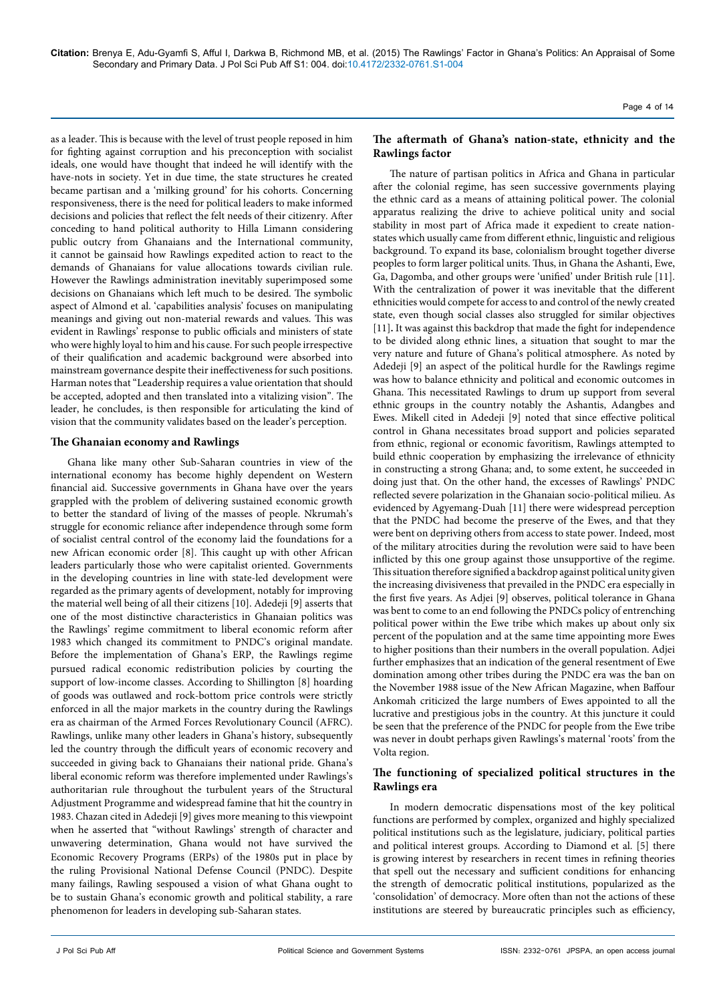as a leader. This is because with the level of trust people reposed in him for fighting against corruption and his preconception with socialist ideals, one would have thought that indeed he will identify with the have-nots in society. Yet in due time, the state structures he created became partisan and a 'milking ground' for his cohorts. Concerning responsiveness, there is the need for political leaders to make informed decisions and policies that reflect the felt needs of their citizenry. After conceding to hand political authority to Hilla Limann considering public outcry from Ghanaians and the International community, it cannot be gainsaid how Rawlings expedited action to react to the demands of Ghanaians for value allocations towards civilian rule. However the Rawlings administration inevitably superimposed some decisions on Ghanaians which left much to be desired. The symbolic aspect of Almond et al. 'capabilities analysis' focuses on manipulating meanings and giving out non-material rewards and values. This was evident in Rawlings' response to public officials and ministers of state who were highly loyal to him and his cause. For such people irrespective of their qualification and academic background were absorbed into mainstream governance despite their ineffectiveness for such positions. Harman notes that "Leadership requires a value orientation that should be accepted, adopted and then translated into a vitalizing vision". The leader, he concludes, is then responsible for articulating the kind of vision that the community validates based on the leader's perception.

## **The Ghanaian economy and Rawlings**

Ghana like many other Sub-Saharan countries in view of the international economy has become highly dependent on Western financial aid. Successive governments in Ghana have over the years grappled with the problem of delivering sustained economic growth to better the standard of living of the masses of people. Nkrumah's struggle for economic reliance after independence through some form of socialist central control of the economy laid the foundations for a new African economic order [8]. This caught up with other African leaders particularly those who were capitalist oriented. Governments in the developing countries in line with state-led development were regarded as the primary agents of development, notably for improving the material well being of all their citizens [10]. Adedeji [9] asserts that one of the most distinctive characteristics in Ghanaian politics was the Rawlings' regime commitment to liberal economic reform after 1983 which changed its commitment to PNDC's original mandate. Before the implementation of Ghana's ERP, the Rawlings regime pursued radical economic redistribution policies by courting the support of low-income classes. According to Shillington [8] hoarding of goods was outlawed and rock-bottom price controls were strictly enforced in all the major markets in the country during the Rawlings era as chairman of the Armed Forces Revolutionary Council (AFRC). Rawlings, unlike many other leaders in Ghana's history, subsequently led the country through the difficult years of economic recovery and succeeded in giving back to Ghanaians their national pride. Ghana's liberal economic reform was therefore implemented under Rawlings's authoritarian rule throughout the turbulent years of the Structural Adjustment Programme and widespread famine that hit the country in 1983. Chazan cited in Adedeji [9] gives more meaning to this viewpoint when he asserted that "without Rawlings' strength of character and unwavering determination, Ghana would not have survived the Economic Recovery Programs (ERPs) of the 1980s put in place by the ruling Provisional National Defense Council (PNDC). Despite many failings, Rawling sespoused a vision of what Ghana ought to be to sustain Ghana's economic growth and political stability, a rare phenomenon for leaders in developing sub-Saharan states.

## **The aftermath of Ghana's nation-state, ethnicity and the Rawlings factor**

The nature of partisan politics in Africa and Ghana in particular after the colonial regime, has seen successive governments playing the ethnic card as a means of attaining political power. The colonial apparatus realizing the drive to achieve political unity and social stability in most part of Africa made it expedient to create nationstates which usually came from different ethnic, linguistic and religious background. To expand its base, colonialism brought together diverse peoples to form larger political units. Thus, in Ghana the Ashanti, Ewe, Ga, Dagomba, and other groups were 'unified' under British rule [11]. With the centralization of power it was inevitable that the different ethnicities would compete for access to and control of the newly created state, even though social classes also struggled for similar objectives [11]. It was against this backdrop that made the fight for independence to be divided along ethnic lines, a situation that sought to mar the very nature and future of Ghana's political atmosphere. As noted by Adedeji [9] an aspect of the political hurdle for the Rawlings regime was how to balance ethnicity and political and economic outcomes in Ghana. This necessitated Rawlings to drum up support from several ethnic groups in the country notably the Ashantis, Adangbes and Ewes. Mikell cited in Adedeji [9] noted that since effective political control in Ghana necessitates broad support and policies separated from ethnic, regional or economic favoritism, Rawlings attempted to build ethnic cooperation by emphasizing the irrelevance of ethnicity in constructing a strong Ghana; and, to some extent, he succeeded in doing just that. On the other hand, the excesses of Rawlings' PNDC reflected severe polarization in the Ghanaian socio-political milieu. As evidenced by Agyemang-Duah [11] there were widespread perception that the PNDC had become the preserve of the Ewes, and that they were bent on depriving others from access to state power. Indeed, most of the military atrocities during the revolution were said to have been inflicted by this one group against those unsupportive of the regime. This situation therefore signified a backdrop against political unity given the increasing divisiveness that prevailed in the PNDC era especially in the first five years. As Adjei [9] observes, political tolerance in Ghana was bent to come to an end following the PNDCs policy of entrenching political power within the Ewe tribe which makes up about only six percent of the population and at the same time appointing more Ewes to higher positions than their numbers in the overall population. Adjei further emphasizes that an indication of the general resentment of Ewe domination among other tribes during the PNDC era was the ban on the November 1988 issue of the New African Magazine, when Baffour Ankomah criticized the large numbers of Ewes appointed to all the lucrative and prestigious jobs in the country. At this juncture it could be seen that the preference of the PNDC for people from the Ewe tribe was never in doubt perhaps given Rawlings's maternal 'roots' from the Volta region.

## **The functioning of specialized political structures in the Rawlings era**

In modern democratic dispensations most of the key political functions are performed by complex, organized and highly specialized political institutions such as the legislature, judiciary, political parties and political interest groups. According to Diamond et al. [5] there is growing interest by researchers in recent times in refining theories that spell out the necessary and sufficient conditions for enhancing the strength of democratic political institutions, popularized as the 'consolidation' of democracy. More often than not the actions of these institutions are steered by bureaucratic principles such as efficiency,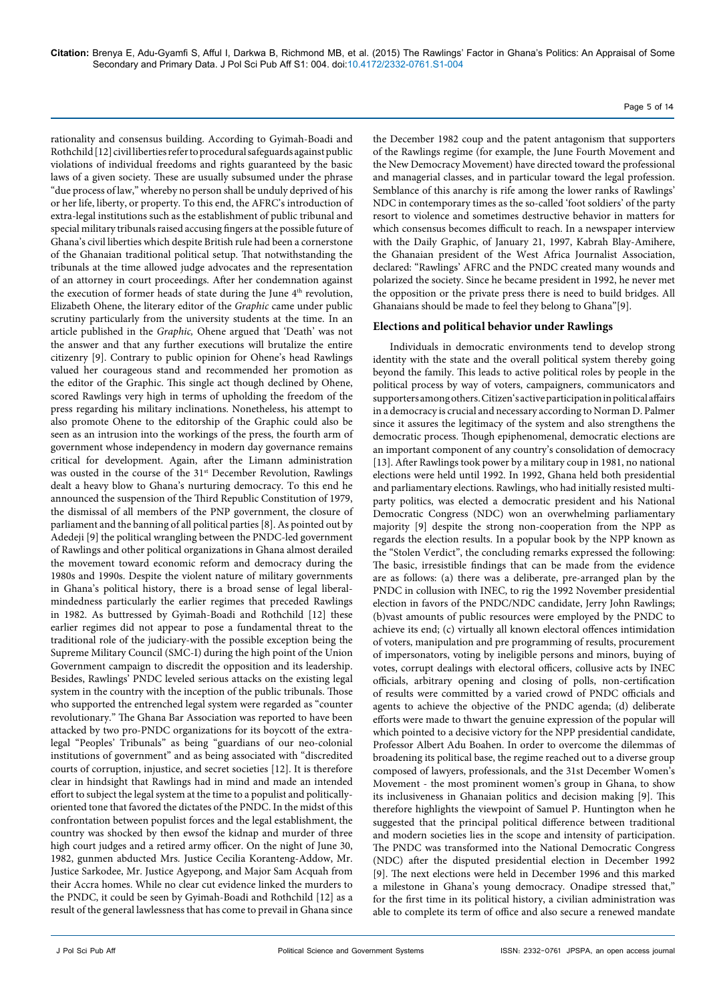rationality and consensus building. According to Gyimah-Boadi and Rothchild [12] civil liberties refer to procedural safeguards against public violations of individual freedoms and rights guaranteed by the basic laws of a given society. These are usually subsumed under the phrase "due process of law," whereby no person shall be unduly deprived of his or her life, liberty, or property. To this end, the AFRC's introduction of extra-legal institutions such as the establishment of public tribunal and special military tribunals raised accusing fingers at the possible future of Ghana's civil liberties which despite British rule had been a cornerstone of the Ghanaian traditional political setup. That notwithstanding the tribunals at the time allowed judge advocates and the representation of an attorney in court proceedings. After her condemnation against the execution of former heads of state during the June 4<sup>th</sup> revolution, Elizabeth Ohene, the literary editor of the *Graphic* came under public scrutiny particularly from the university students at the time. In an article published in the *Graphic,* Ohene argued that 'Death' was not the answer and that any further executions will brutalize the entire citizenry [9]. Contrary to public opinion for Ohene's head Rawlings valued her courageous stand and recommended her promotion as the editor of the Graphic. This single act though declined by Ohene, scored Rawlings very high in terms of upholding the freedom of the press regarding his military inclinations. Nonetheless, his attempt to also promote Ohene to the editorship of the Graphic could also be seen as an intrusion into the workings of the press, the fourth arm of government whose independency in modern day governance remains critical for development. Again, after the Limann administration was ousted in the course of the 31<sup>st</sup> December Revolution, Rawlings dealt a heavy blow to Ghana's nurturing democracy. To this end he announced the suspension of the Third Republic Constitution of 1979, the dismissal of all members of the PNP government, the closure of parliament and the banning of all political parties [8]. As pointed out by Adedeji [9] the political wrangling between the PNDC-led government of Rawlings and other political organizations in Ghana almost derailed the movement toward economic reform and democracy during the 1980s and 1990s. Despite the violent nature of military governments in Ghana's political history, there is a broad sense of legal liberalmindedness particularly the earlier regimes that preceded Rawlings in 1982. As buttressed by Gyimah-Boadi and Rothchild [12] these earlier regimes did not appear to pose a fundamental threat to the traditional role of the judiciary-with the possible exception being the Supreme Military Council (SMC-I) during the high point of the Union Government campaign to discredit the opposition and its leadership. Besides, Rawlings' PNDC leveled serious attacks on the existing legal system in the country with the inception of the public tribunals. Those who supported the entrenched legal system were regarded as "counter revolutionary." The Ghana Bar Association was reported to have been attacked by two pro-PNDC organizations for its boycott of the extralegal "Peoples' Tribunals" as being "guardians of our neo-colonial institutions of government" and as being associated with "discredited courts of corruption, injustice, and secret societies [12]. It is therefore clear in hindsight that Rawlings had in mind and made an intended effort to subject the legal system at the time to a populist and politicallyoriented tone that favored the dictates of the PNDC. In the midst of this confrontation between populist forces and the legal establishment, the country was shocked by then ewsof the kidnap and murder of three high court judges and a retired army officer. On the night of June 30, 1982, gunmen abducted Mrs. Justice Cecilia Koranteng-Addow, Mr. Justice Sarkodee, Mr. Justice Agyepong, and Major Sam Acquah from their Accra homes. While no clear cut evidence linked the murders to the PNDC, it could be seen by Gyimah-Boadi and Rothchild [12] as a result of the general lawlessness that has come to prevail in Ghana since the December 1982 coup and the patent antagonism that supporters of the Rawlings regime (for example, the June Fourth Movement and the New Democracy Movement) have directed toward the professional and managerial classes, and in particular toward the legal profession. Semblance of this anarchy is rife among the lower ranks of Rawlings' NDC in contemporary times as the so-called 'foot soldiers' of the party resort to violence and sometimes destructive behavior in matters for which consensus becomes difficult to reach. In a newspaper interview with the Daily Graphic, of January 21, 1997, Kabrah Blay-Amihere, the Ghanaian president of the West Africa Journalist Association, declared: "Rawlings' AFRC and the PNDC created many wounds and polarized the society. Since he became president in 1992, he never met the opposition or the private press there is need to build bridges. All Ghanaians should be made to feel they belong to Ghana"[9].

Page 5 of 14

#### **Elections and political behavior under Rawlings**

Individuals in democratic environments tend to develop strong identity with the state and the overall political system thereby going beyond the family. This leads to active political roles by people in the political process by way of voters, campaigners, communicators and supporters among others. Citizen's active participation in political affairs in a democracy is crucial and necessary according to Norman D. Palmer since it assures the legitimacy of the system and also strengthens the democratic process. Though epiphenomenal, democratic elections are an important component of any country's consolidation of democracy [13]. After Rawlings took power by a military coup in 1981, no national elections were held until 1992. In 1992, Ghana held both presidential and parliamentary elections. Rawlings, who had initially resisted multiparty politics, was elected a democratic president and his National Democratic Congress (NDC) won an overwhelming parliamentary majority [9] despite the strong non-cooperation from the NPP as regards the election results. In a popular book by the NPP known as the "Stolen Verdict", the concluding remarks expressed the following: The basic, irresistible findings that can be made from the evidence are as follows: (a) there was a deliberate, pre-arranged plan by the PNDC in collusion with INEC, to rig the 1992 November presidential election in favors of the PNDC/NDC candidate, Jerry John Rawlings; (b)vast amounts of public resources were employed by the PNDC to achieve its end; (c) virtually all known electoral offences intimidation of voters, manipulation and pre programming of results, procurement of impersonators, voting by ineligible persons and minors, buying of votes, corrupt dealings with electoral officers, collusive acts by INEC officials, arbitrary opening and closing of polls, non-certification of results were committed by a varied crowd of PNDC officials and agents to achieve the objective of the PNDC agenda; (d) deliberate efforts were made to thwart the genuine expression of the popular will which pointed to a decisive victory for the NPP presidential candidate, Professor Albert Adu Boahen. In order to overcome the dilemmas of broadening its political base, the regime reached out to a diverse group composed of lawyers, professionals, and the 31st December Women's Movement - the most prominent women's group in Ghana, to show its inclusiveness in Ghanaian politics and decision making [9]. This therefore highlights the viewpoint of Samuel P. Huntington when he suggested that the principal political difference between traditional and modern societies lies in the scope and intensity of participation. The PNDC was transformed into the National Democratic Congress (NDC) after the disputed presidential election in December 1992 [9]. The next elections were held in December 1996 and this marked a milestone in Ghana's young democracy. Onadipe stressed that," for the first time in its political history, a civilian administration was able to complete its term of office and also secure a renewed mandate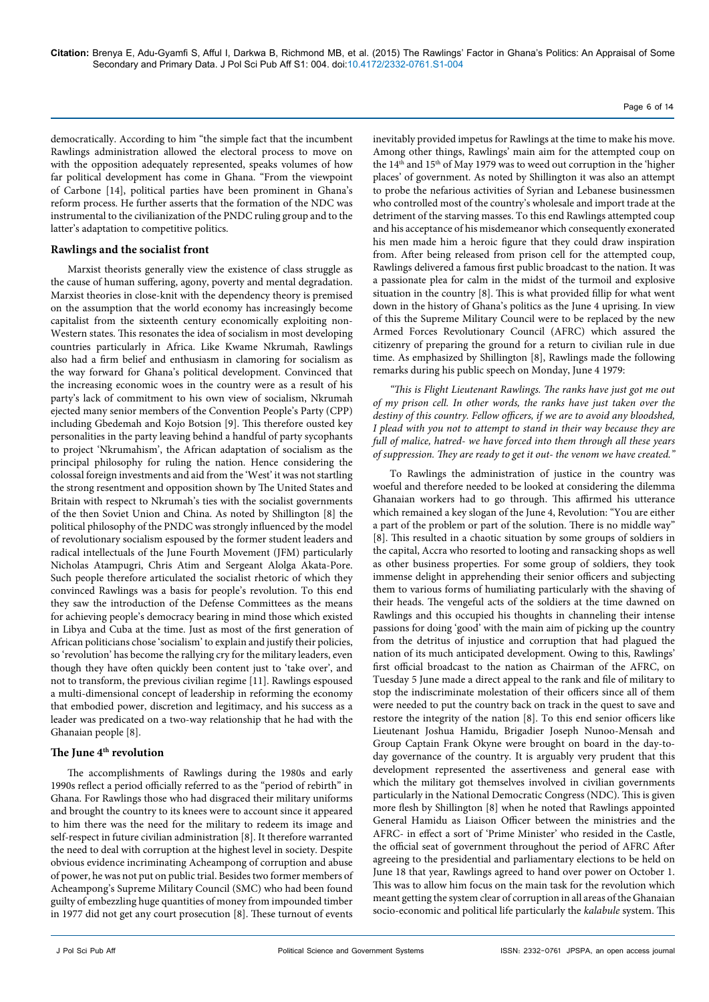democratically. According to him "the simple fact that the incumbent Rawlings administration allowed the electoral process to move on with the opposition adequately represented, speaks volumes of how far political development has come in Ghana. "From the viewpoint of Carbone [14], political parties have been prominent in Ghana's reform process. He further asserts that the formation of the NDC was instrumental to the civilianization of the PNDC ruling group and to the latter's adaptation to competitive politics.

### **Rawlings and the socialist front**

Marxist theorists generally view the existence of class struggle as the cause of human suffering, agony, poverty and mental degradation. Marxist theories in close-knit with the dependency theory is premised on the assumption that the world economy has increasingly become capitalist from the sixteenth century economically exploiting non-Western states. This resonates the idea of socialism in most developing countries particularly in Africa. Like Kwame Nkrumah, Rawlings also had a firm belief and enthusiasm in clamoring for socialism as the way forward for Ghana's political development. Convinced that the increasing economic woes in the country were as a result of his party's lack of commitment to his own view of socialism, Nkrumah ejected many senior members of the Convention People's Party (CPP) including Gbedemah and Kojo Botsion [9]. This therefore ousted key personalities in the party leaving behind a handful of party sycophants to project 'Nkrumahism', the African adaptation of socialism as the principal philosophy for ruling the nation. Hence considering the colossal foreign investments and aid from the 'West' it was not startling the strong resentment and opposition shown by The United States and Britain with respect to Nkrumah's ties with the socialist governments of the then Soviet Union and China. As noted by Shillington [8] the political philosophy of the PNDC was strongly influenced by the model of revolutionary socialism espoused by the former student leaders and radical intellectuals of the June Fourth Movement (JFM) particularly Nicholas Atampugri, Chris Atim and Sergeant Alolga Akata-Pore. Such people therefore articulated the socialist rhetoric of which they convinced Rawlings was a basis for people's revolution. To this end they saw the introduction of the Defense Committees as the means for achieving people's democracy bearing in mind those which existed in Libya and Cuba at the time. Just as most of the first generation of African politicians chose 'socialism' to explain and justify their policies, so 'revolution' has become the rallying cry for the military leaders, even though they have often quickly been content just to 'take over', and not to transform, the previous civilian regime [11]. Rawlings espoused a multi-dimensional concept of leadership in reforming the economy that embodied power, discretion and legitimacy, and his success as a leader was predicated on a two-way relationship that he had with the Ghanaian people [8].

## The June 4<sup>th</sup> revolution

The accomplishments of Rawlings during the 1980s and early 1990s reflect a period officially referred to as the "period of rebirth" in Ghana. For Rawlings those who had disgraced their military uniforms and brought the country to its knees were to account since it appeared to him there was the need for the military to redeem its image and self-respect in future civilian administration [8]. It therefore warranted the need to deal with corruption at the highest level in society. Despite obvious evidence incriminating Acheampong of corruption and abuse of power, he was not put on public trial. Besides two former members of Acheampong's Supreme Military Council (SMC) who had been found guilty of embezzling huge quantities of money from impounded timber in 1977 did not get any court prosecution [8]. These turnout of events inevitably provided impetus for Rawlings at the time to make his move. Among other things, Rawlings' main aim for the attempted coup on the 14th and 15th of May 1979 was to weed out corruption in the 'higher places' of government. As noted by Shillington it was also an attempt to probe the nefarious activities of Syrian and Lebanese businessmen who controlled most of the country's wholesale and import trade at the detriment of the starving masses. To this end Rawlings attempted coup and his acceptance of his misdemeanor which consequently exonerated his men made him a heroic figure that they could draw inspiration from. After being released from prison cell for the attempted coup, Rawlings delivered a famous first public broadcast to the nation. It was a passionate plea for calm in the midst of the turmoil and explosive situation in the country [8]. This is what provided fillip for what went down in the history of Ghana's politics as the June 4 uprising. In view of this the Supreme Military Council were to be replaced by the new Armed Forces Revolutionary Council (AFRC) which assured the citizenry of preparing the ground for a return to civilian rule in due time. As emphasized by Shillington [8], Rawlings made the following remarks during his public speech on Monday, June 4 1979:

*"This is Flight Lieutenant Rawlings. The ranks have just got me out of my prison cell. In other words, the ranks have just taken over the destiny of this country. Fellow officers, if we are to avoid any bloodshed, I plead with you not to attempt to stand in their way because they are full of malice, hatred- we have forced into them through all these years of suppression. They are ready to get it out- the venom we have created."*

To Rawlings the administration of justice in the country was woeful and therefore needed to be looked at considering the dilemma Ghanaian workers had to go through. This affirmed his utterance which remained a key slogan of the June 4, Revolution: "You are either a part of the problem or part of the solution. There is no middle way" [8]. This resulted in a chaotic situation by some groups of soldiers in the capital, Accra who resorted to looting and ransacking shops as well as other business properties. For some group of soldiers, they took immense delight in apprehending their senior officers and subjecting them to various forms of humiliating particularly with the shaving of their heads. The vengeful acts of the soldiers at the time dawned on Rawlings and this occupied his thoughts in channeling their intense passions for doing 'good' with the main aim of picking up the country from the detritus of injustice and corruption that had plagued the nation of its much anticipated development. Owing to this, Rawlings' first official broadcast to the nation as Chairman of the AFRC, on Tuesday 5 June made a direct appeal to the rank and file of military to stop the indiscriminate molestation of their officers since all of them were needed to put the country back on track in the quest to save and restore the integrity of the nation [8]. To this end senior officers like Lieutenant Joshua Hamidu, Brigadier Joseph Nunoo-Mensah and Group Captain Frank Okyne were brought on board in the day-today governance of the country. It is arguably very prudent that this development represented the assertiveness and general ease with which the military got themselves involved in civilian governments particularly in the National Democratic Congress (NDC). This is given more flesh by Shillington [8] when he noted that Rawlings appointed General Hamidu as Liaison Officer between the ministries and the AFRC- in effect a sort of 'Prime Minister' who resided in the Castle, the official seat of government throughout the period of AFRC After agreeing to the presidential and parliamentary elections to be held on June 18 that year, Rawlings agreed to hand over power on October 1. This was to allow him focus on the main task for the revolution which meant getting the system clear of corruption in all areas of the Ghanaian socio-economic and political life particularly the *kalabule* system. This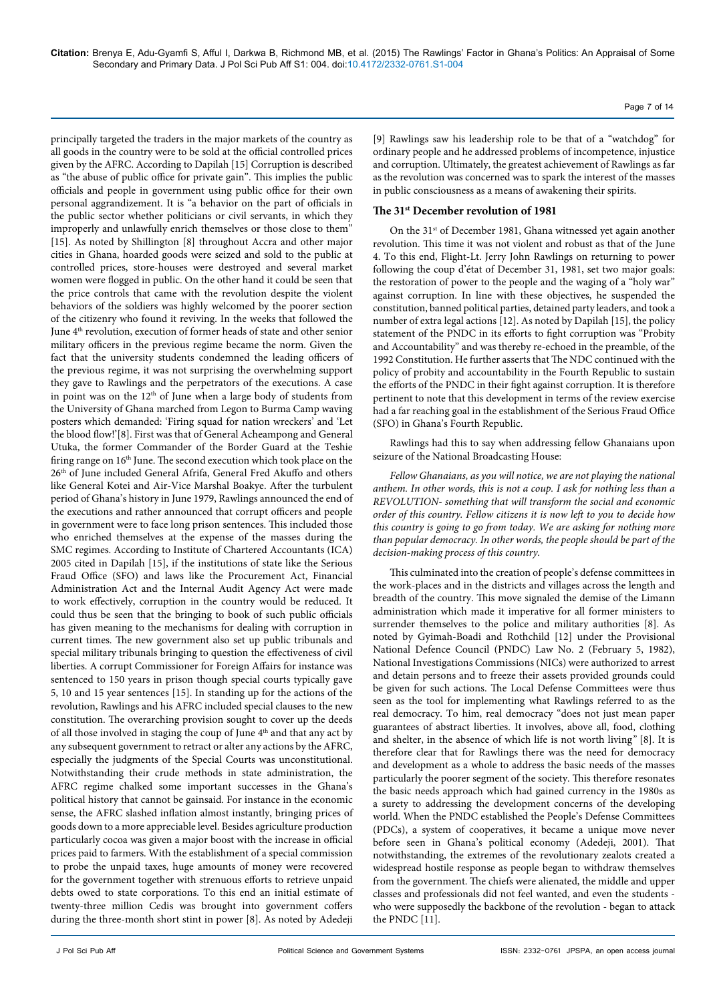principally targeted the traders in the major markets of the country as all goods in the country were to be sold at the official controlled prices given by the AFRC. According to Dapilah [15] Corruption is described as "the abuse of public office for private gain". This implies the public officials and people in government using public office for their own personal aggrandizement. It is "a behavior on the part of officials in the public sector whether politicians or civil servants, in which they improperly and unlawfully enrich themselves or those close to them" [15]. As noted by Shillington [8] throughout Accra and other major cities in Ghana, hoarded goods were seized and sold to the public at controlled prices, store-houses were destroyed and several market women were flogged in public. On the other hand it could be seen that the price controls that came with the revolution despite the violent behaviors of the soldiers was highly welcomed by the poorer section of the citizenry who found it reviving. In the weeks that followed the June 4<sup>th</sup> revolution, execution of former heads of state and other senior military officers in the previous regime became the norm. Given the fact that the university students condemned the leading officers of the previous regime, it was not surprising the overwhelming support they gave to Rawlings and the perpetrators of the executions. A case in point was on the 12<sup>th</sup> of June when a large body of students from the University of Ghana marched from Legon to Burma Camp waving posters which demanded: 'Firing squad for nation wreckers' and 'Let the blood flow!'[8]. First was that of General Acheampong and General Utuka, the former Commander of the Border Guard at the Teshie firing range on 16<sup>th</sup> June. The second execution which took place on the 26<sup>th</sup> of June included General Afrifa, General Fred Akuffo and others like General Kotei and Air-Vice Marshal Boakye. After the turbulent period of Ghana's history in June 1979, Rawlings announced the end of the executions and rather announced that corrupt officers and people in government were to face long prison sentences. This included those who enriched themselves at the expense of the masses during the SMC regimes. According to Institute of Chartered Accountants (ICA) 2005 cited in Dapilah [15], if the institutions of state like the Serious Fraud Office (SFO) and laws like the Procurement Act, Financial Administration Act and the Internal Audit Agency Act were made to work effectively, corruption in the country would be reduced. It could thus be seen that the bringing to book of such public officials has given meaning to the mechanisms for dealing with corruption in current times. The new government also set up public tribunals and special military tribunals bringing to question the effectiveness of civil liberties. A corrupt Commissioner for Foreign Affairs for instance was sentenced to 150 years in prison though special courts typically gave 5, 10 and 15 year sentences [15]. In standing up for the actions of the revolution, Rawlings and his AFRC included special clauses to the new constitution. The overarching provision sought to cover up the deeds of all those involved in staging the coup of June 4<sup>th</sup> and that any act by any subsequent government to retract or alter any actions by the AFRC, especially the judgments of the Special Courts was unconstitutional. Notwithstanding their crude methods in state administration, the AFRC regime chalked some important successes in the Ghana's political history that cannot be gainsaid. For instance in the economic sense, the AFRC slashed inflation almost instantly, bringing prices of goods down to a more appreciable level. Besides agriculture production particularly cocoa was given a major boost with the increase in official prices paid to farmers. With the establishment of a special commission to probe the unpaid taxes, huge amounts of money were recovered for the government together with strenuous efforts to retrieve unpaid debts owed to state corporations. To this end an initial estimate of twenty-three million Cedis was brought into government coffers during the three-month short stint in power [8]. As noted by Adedeji

[9] Rawlings saw his leadership role to be that of a "watchdog" for ordinary people and he addressed problems of incompetence, injustice and corruption. Ultimately, the greatest achievement of Rawlings as far as the revolution was concerned was to spark the interest of the masses in public consciousness as a means of awakening their spirits.

Page 7 of 14

#### **The 31st December revolution of 1981**

On the 31<sup>st</sup> of December 1981, Ghana witnessed yet again another revolution. This time it was not violent and robust as that of the June 4. To this end, Flight-Lt. Jerry John Rawlings on returning to power following the coup d'état of December 31, 1981, set two major goals: the restoration of power to the people and the waging of a "holy war" against corruption. In line with these objectives, he suspended the constitution, banned political parties, detained party leaders, and took a number of extra legal actions [12]. As noted by Dapilah [15], the policy statement of the PNDC in its efforts to fight corruption was "Probity and Accountability" and was thereby re-echoed in the preamble, of the 1992 Constitution. He further asserts that The NDC continued with the policy of probity and accountability in the Fourth Republic to sustain the efforts of the PNDC in their fight against corruption. It is therefore pertinent to note that this development in terms of the review exercise had a far reaching goal in the establishment of the Serious Fraud Office (SFO) in Ghana's Fourth Republic.

Rawlings had this to say when addressing fellow Ghanaians upon seizure of the National Broadcasting House:

*Fellow Ghanaians, as you will notice, we are not playing the national anthem. In other words, this is not a coup. I ask for nothing less than a REVOLUTION- something that will transform the social and economic order of this country. Fellow citizens it is now left to you to decide how this country is going to go from today. We are asking for nothing more than popular democracy. In other words, the people should be part of the decision-making process of this country.* 

This culminated into the creation of people's defense committees in the work-places and in the districts and villages across the length and breadth of the country. This move signaled the demise of the Limann administration which made it imperative for all former ministers to surrender themselves to the police and military authorities [8]. As noted by Gyimah-Boadi and Rothchild [12] under the Provisional National Defence Council (PNDC) Law No. 2 (February 5, 1982), National Investigations Commissions (NICs) were authorized to arrest and detain persons and to freeze their assets provided grounds could be given for such actions. The Local Defense Committees were thus seen as the tool for implementing what Rawlings referred to as the real democracy. To him, real democracy "does not just mean paper guarantees of abstract liberties. It involves, above all, food, clothing and shelter, in the absence of which life is not worth living*"* [8]. It is therefore clear that for Rawlings there was the need for democracy and development as a whole to address the basic needs of the masses particularly the poorer segment of the society. This therefore resonates the basic needs approach which had gained currency in the 1980s as a surety to addressing the development concerns of the developing world. When the PNDC established the People's Defense Committees (PDCs), a system of cooperatives, it became a unique move never before seen in Ghana's political economy (Adedeji, 2001). That notwithstanding, the extremes of the revolutionary zealots created a widespread hostile response as people began to withdraw themselves from the government. The chiefs were alienated, the middle and upper classes and professionals did not feel wanted, and even the students who were supposedly the backbone of the revolution - began to attack the PNDC [11].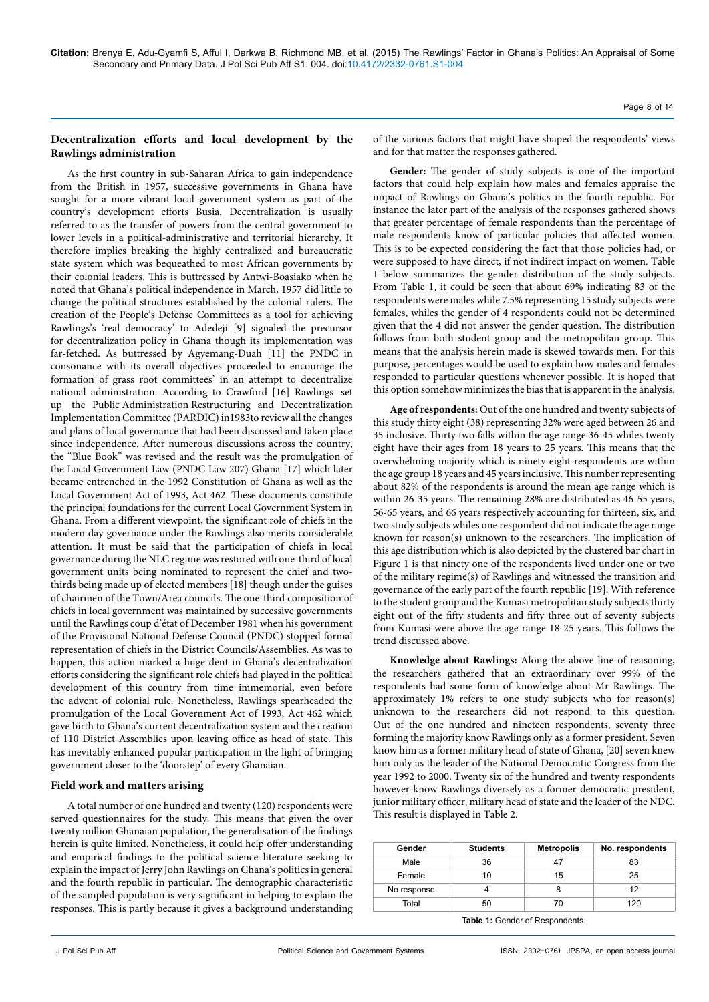## **Decentralization efforts and local development by the Rawlings administration**

As the first country in sub-Saharan Africa to gain independence from the British in 1957, successive governments in Ghana have sought for a more vibrant local government system as part of the country's development efforts Busia. Decentralization is usually referred to as the transfer of powers from the central government to lower levels in a political-administrative and territorial hierarchy. It therefore implies breaking the highly centralized and bureaucratic state system which was bequeathed to most African governments by their colonial leaders. This is buttressed by Antwi-Boasiako when he noted that Ghana's political independence in March, 1957 did little to change the political structures established by the colonial rulers. The creation of the People's Defense Committees as a tool for achieving Rawlings's 'real democracy' to Adedeji [9] signaled the precursor for decentralization policy in Ghana though its implementation was far-fetched. As buttressed by Agyemang-Duah [11] the PNDC in consonance with its overall objectives proceeded to encourage the formation of grass root committees' in an attempt to decentralize national administration. According to Crawford [16] Rawlings set up the Public Administration Restructuring and Decentralization Implementation Committee (PARDIC) in1983to review all the changes and plans of local governance that had been discussed and taken place since independence. After numerous discussions across the country, the "Blue Book" was revised and the result was the promulgation of the Local Government Law (PNDC Law 207) Ghana [17] which later became entrenched in the 1992 Constitution of Ghana as well as the Local Government Act of 1993, Act 462. These documents constitute the principal foundations for the current Local Government System in Ghana. From a different viewpoint, the significant role of chiefs in the modern day governance under the Rawlings also merits considerable attention. It must be said that the participation of chiefs in local governance during the NLC regime was restored with one-third of local government units being nominated to represent the chief and twothirds being made up of elected members [18] though under the guises of chairmen of the Town/Area councils. The one-third composition of chiefs in local government was maintained by successive governments until the Rawlings coup d'état of December 1981 when his government of the Provisional National Defense Council (PNDC) stopped formal representation of chiefs in the District Councils/Assemblies. As was to happen, this action marked a huge dent in Ghana's decentralization efforts considering the significant role chiefs had played in the political development of this country from time immemorial, even before the advent of colonial rule. Nonetheless, Rawlings spearheaded the promulgation of the Local Government Act of 1993, Act 462 which gave birth to Ghana's current decentralization system and the creation of 110 District Assemblies upon leaving office as head of state. This has inevitably enhanced popular participation in the light of bringing government closer to the 'doorstep' of every Ghanaian.

## **Field work and matters arising**

A total number of one hundred and twenty (120) respondents were served questionnaires for the study. This means that given the over twenty million Ghanaian population, the generalisation of the findings herein is quite limited. Nonetheless, it could help offer understanding and empirical findings to the political science literature seeking to explain the impact of Jerry John Rawlings on Ghana's politics in general and the fourth republic in particular. The demographic characteristic of the sampled population is very significant in helping to explain the responses. This is partly because it gives a background understanding

of the various factors that might have shaped the respondents' views and for that matter the responses gathered.

**Gender:** The gender of study subjects is one of the important factors that could help explain how males and females appraise the impact of Rawlings on Ghana's politics in the fourth republic. For instance the later part of the analysis of the responses gathered shows that greater percentage of female respondents than the percentage of male respondents know of particular policies that affected women. This is to be expected considering the fact that those policies had, or were supposed to have direct, if not indirect impact on women. Table 1 below summarizes the gender distribution of the study subjects. From Table 1, it could be seen that about 69% indicating 83 of the respondents were males while 7.5% representing 15 study subjects were females, whiles the gender of 4 respondents could not be determined given that the 4 did not answer the gender question. The distribution follows from both student group and the metropolitan group. This means that the analysis herein made is skewed towards men. For this purpose, percentages would be used to explain how males and females responded to particular questions whenever possible. It is hoped that this option somehow minimizes the bias that is apparent in the analysis.

**Age of respondents:** Out of the one hundred and twenty subjects of this study thirty eight (38) representing 32% were aged between 26 and 35 inclusive. Thirty two falls within the age range 36-45 whiles twenty eight have their ages from 18 years to 25 years. This means that the overwhelming majority which is ninety eight respondents are within the age group 18 years and 45 years inclusive. This number representing about 82% of the respondents is around the mean age range which is within 26-35 years. The remaining 28% are distributed as 46-55 years, 56-65 years, and 66 years respectively accounting for thirteen, six, and two study subjects whiles one respondent did not indicate the age range known for reason(s) unknown to the researchers. The implication of this age distribution which is also depicted by the clustered bar chart in Figure 1 is that ninety one of the respondents lived under one or two of the military regime(s) of Rawlings and witnessed the transition and governance of the early part of the fourth republic [19]. With reference to the student group and the Kumasi metropolitan study subjects thirty eight out of the fifty students and fifty three out of seventy subjects from Kumasi were above the age range 18-25 years. This follows the trend discussed above.

**Knowledge about Rawlings:** Along the above line of reasoning, the researchers gathered that an extraordinary over 99% of the respondents had some form of knowledge about Mr Rawlings. The approximately 1% refers to one study subjects who for reason(s) unknown to the researchers did not respond to this question. Out of the one hundred and nineteen respondents, seventy three forming the majority know Rawlings only as a former president. Seven know him as a former military head of state of Ghana, [20] seven knew him only as the leader of the National Democratic Congress from the year 1992 to 2000. Twenty six of the hundred and twenty respondents however know Rawlings diversely as a former democratic president, junior military officer, military head of state and the leader of the NDC. This result is displayed in Table 2.

| Gender      | <b>Students</b> | <b>Metropolis</b> | No. respondents |
|-------------|-----------------|-------------------|-----------------|
| Male        | 36              |                   | 83              |
| Female      | 10              | 15                | 25              |
| No response |                 |                   | 12              |
| Total       | 50              | 70                | 120             |

**Table 1:** Gender of Respondents.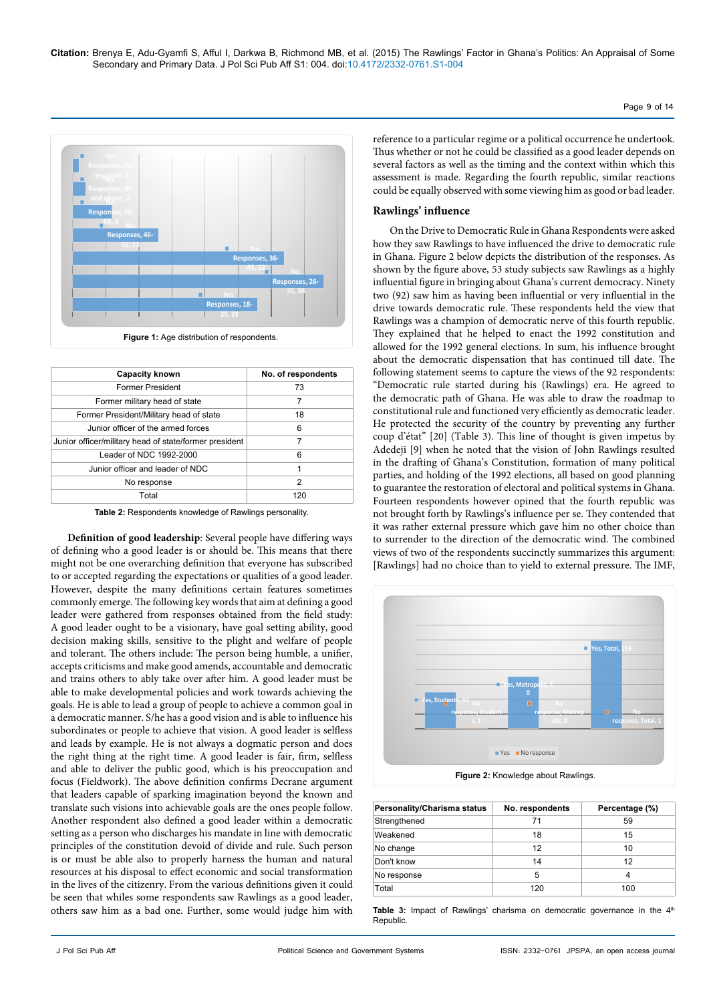

**Figure 1:** Age distribution of respondents.

| <b>Capacity known</b>                                  | No. of respondents |
|--------------------------------------------------------|--------------------|
| <b>Former President</b>                                | 73                 |
| Former military head of state                          | 7                  |
| Former President/Military head of state                | 18                 |
| Junior officer of the armed forces                     | 6                  |
| Junior officer/military head of state/former president | 7                  |
| Leader of NDC 1992-2000                                | 6                  |
| Junior officer and leader of NDC                       | 1                  |
| No response                                            | 2                  |
| Total                                                  | 120                |

**Table 2:** Respondents knowledge of Rawlings personality.

**Definition of good leadership**: Several people have differing ways of defining who a good leader is or should be. This means that there might not be one overarching definition that everyone has subscribed to or accepted regarding the expectations or qualities of a good leader. However, despite the many definitions certain features sometimes commonly emerge. The following key words that aim at defining a good leader were gathered from responses obtained from the field study: A good leader ought to be a visionary, have goal setting ability, good decision making skills, sensitive to the plight and welfare of people and tolerant. The others include: The person being humble, a unifier, accepts criticisms and make good amends, accountable and democratic and trains others to ably take over after him. A good leader must be able to make developmental policies and work towards achieving the goals. He is able to lead a group of people to achieve a common goal in a democratic manner. S/he has a good vision and is able to influence his subordinates or people to achieve that vision. A good leader is selfless and leads by example. He is not always a dogmatic person and does the right thing at the right time. A good leader is fair, firm, selfless and able to deliver the public good, which is his preoccupation and focus (Fieldwork). The above definition confirms Decrane argument that leaders capable of sparking imagination beyond the known and translate such visions into achievable goals are the ones people follow. Another respondent also defined a good leader within a democratic setting as a person who discharges his mandate in line with democratic principles of the constitution devoid of divide and rule. Such person is or must be able also to properly harness the human and natural resources at his disposal to effect economic and social transformation in the lives of the citizenry. From the various definitions given it could be seen that whiles some respondents saw Rawlings as a good leader, others saw him as a bad one. Further, some would judge him with reference to a particular regime or a political occurrence he undertook. Thus whether or not he could be classified as a good leader depends on several factors as well as the timing and the context within which this assessment is made. Regarding the fourth republic, similar reactions could be equally observed with some viewing him as good or bad leader.

Page 9 of 14

#### **Rawlings' influence**

On the Drive to Democratic Rule in Ghana Respondents were asked how they saw Rawlings to have influenced the drive to democratic rule in Ghana. Figure 2 below depicts the distribution of the responses**.** As shown by the figure above, 53 study subjects saw Rawlings as a highly influential figure in bringing about Ghana's current democracy. Ninety two (92) saw him as having been influential or very influential in the drive towards democratic rule. These respondents held the view that Rawlings was a champion of democratic nerve of this fourth republic. They explained that he helped to enact the 1992 constitution and allowed for the 1992 general elections. In sum, his influence brought about the democratic dispensation that has continued till date. The following statement seems to capture the views of the 92 respondents: "Democratic rule started during his (Rawlings) era. He agreed to the democratic path of Ghana. He was able to draw the roadmap to constitutional rule and functioned very efficiently as democratic leader. He protected the security of the country by preventing any further coup d'état" [20] (Table 3). This line of thought is given impetus by Adedeji [9] when he noted that the vision of John Rawlings resulted in the drafting of Ghana's Constitution, formation of many political parties, and holding of the 1992 elections, all based on good planning to guarantee the restoration of electoral and political systems in Ghana. Fourteen respondents however opined that the fourth republic was not brought forth by Rawlings's influence per se. They contended that it was rather external pressure which gave him no other choice than to surrender to the direction of the democratic wind. The combined views of two of the respondents succinctly summarizes this argument: [Rawlings] had no choice than to yield to external pressure. The IMF,



| Personality/Charisma status | No. respondents | Percentage (%) |
|-----------------------------|-----------------|----------------|
| Strengthened                | 71              | 59             |
| Weakened                    | 18              | 15             |
| No change                   | 12              | 10             |
| Don't know                  | 14              | 12             |
| No response                 | 5               | 4              |
| Total                       | 120             | 100            |

Table 3: Impact of Rawlings' charisma on democratic governance in the 4<sup>th</sup> **Republic**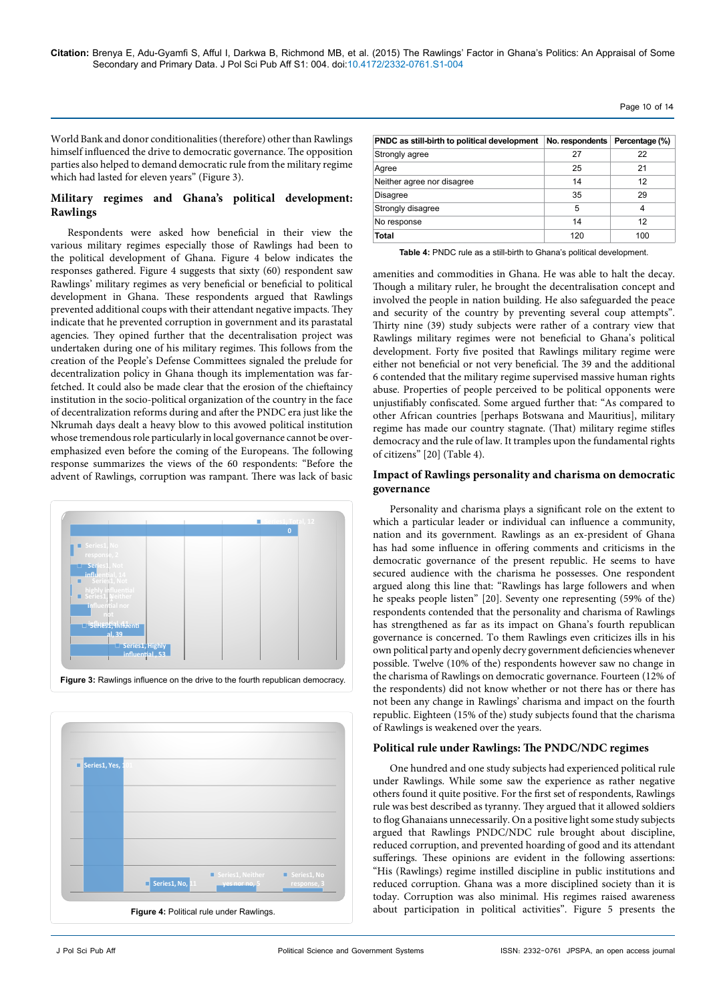**Citation:** Brenya E, Adu-Gyamfi S, Afful I, Darkwa B, Richmond MB, et al. (2015) The Rawlings' Factor in Ghana's Politics: An Appraisal of Some Secondary and Primary Data. J Pol Sci Pub Aff S1: 004. doi:[10.4172/2332-0761.S1-004](http://dx.doi.org/10.4172/2332-0761.S1-004)

World Bank and donor conditionalities (therefore) other than Rawlings himself influenced the drive to democratic governance. The opposition parties also helped to demand democratic rule from the military regime which had lasted for eleven years" (Figure 3).

# **Military regimes and Ghana's political development: Rawlings**

Respondents were asked how beneficial in their view the various military regimes especially those of Rawlings had been to the political development of Ghana. Figure 4 below indicates the responses gathered. Figure 4 suggests that sixty (60) respondent saw Rawlings' military regimes as very beneficial or beneficial to political development in Ghana. These respondents argued that Rawlings prevented additional coups with their attendant negative impacts. They indicate that he prevented corruption in government and its parastatal agencies. They opined further that the decentralisation project was undertaken during one of his military regimes. This follows from the creation of the People's Defense Committees signaled the prelude for decentralization policy in Ghana though its implementation was farfetched. It could also be made clear that the erosion of the chieftaincy institution in the socio-political organization of the country in the face of decentralization reforms during and after the PNDC era just like the Nkrumah days dealt a heavy blow to this avowed political institution whose tremendous role particularly in local governance cannot be overemphasized even before the coming of the Europeans. The following response summarizes the views of the 60 respondents: "Before the advent of Rawlings, corruption was rampant. There was lack of basic





| PNDC as still-birth to political development | No. respondents | Percentage (%) |
|----------------------------------------------|-----------------|----------------|
| Strongly agree                               | 27              | 22             |
| Agree                                        | 25              | 21             |
| Neither agree nor disagree                   | 14              | 12             |
| <b>Disagree</b>                              | 35              | 29             |
| Strongly disagree                            | 5               | 4              |
| No response                                  | 14              | 12             |
| Total                                        | 120             | 100            |

Page 10 of 14

**Table 4:** PNDC rule as a still-birth to Ghana's political development.

amenities and commodities in Ghana. He was able to halt the decay. Though a military ruler, he brought the decentralisation concept and involved the people in nation building. He also safeguarded the peace and security of the country by preventing several coup attempts". Thirty nine (39) study subjects were rather of a contrary view that Rawlings military regimes were not beneficial to Ghana's political development. Forty five posited that Rawlings military regime were either not beneficial or not very beneficial. The 39 and the additional 6 contended that the military regime supervised massive human rights abuse. Properties of people perceived to be political opponents were unjustifiably confiscated. Some argued further that: "As compared to other African countries [perhaps Botswana and Mauritius], military regime has made our country stagnate. (That) military regime stifles democracy and the rule of law. It tramples upon the fundamental rights of citizens" [20] (Table 4).

## **Impact of Rawlings personality and charisma on democratic governance**

Personality and charisma plays a significant role on the extent to which a particular leader or individual can influence a community, nation and its government. Rawlings as an ex-president of Ghana has had some influence in offering comments and criticisms in the democratic governance of the present republic. He seems to have secured audience with the charisma he possesses. One respondent argued along this line that: "Rawlings has large followers and when he speaks people listen" [20]. Seventy one representing (59% of the) respondents contended that the personality and charisma of Rawlings has strengthened as far as its impact on Ghana's fourth republican governance is concerned. To them Rawlings even criticizes ills in his own political party and openly decry government deficiencies whenever possible. Twelve (10% of the) respondents however saw no change in the charisma of Rawlings on democratic governance. Fourteen (12% of the respondents) did not know whether or not there has or there has not been any change in Rawlings' charisma and impact on the fourth republic. Eighteen (15% of the) study subjects found that the charisma of Rawlings is weakened over the years.

#### **Political rule under Rawlings: The PNDC/NDC regimes**

One hundred and one study subjects had experienced political rule under Rawlings. While some saw the experience as rather negative others found it quite positive. For the first set of respondents, Rawlings rule was best described as tyranny. They argued that it allowed soldiers to flog Ghanaians unnecessarily. On a positive light some study subjects argued that Rawlings PNDC/NDC rule brought about discipline, reduced corruption, and prevented hoarding of good and its attendant sufferings. These opinions are evident in the following assertions: "His (Rawlings) regime instilled discipline in public institutions and reduced corruption. Ghana was a more disciplined society than it is today. Corruption was also minimal. His regimes raised awareness about participation in political activities". Figure 5 presents the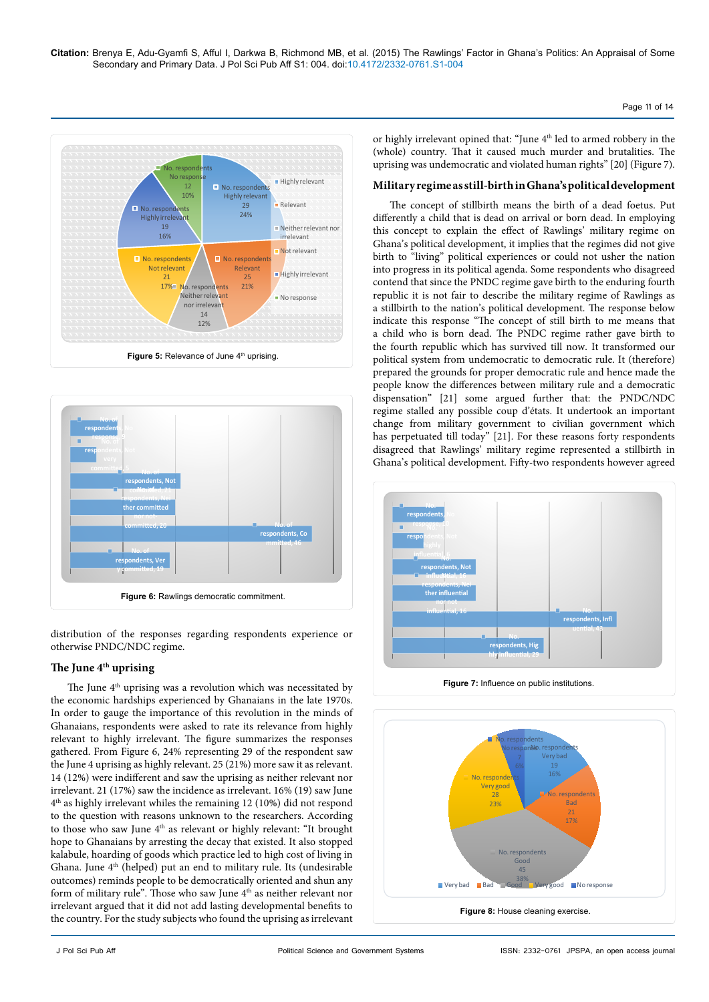



distribution of the responses regarding respondents experience or otherwise PNDC/NDC regime.

# **The June 4th uprising**

The June  $4<sup>th</sup>$  uprising was a revolution which was necessitated by the economic hardships experienced by Ghanaians in the late 1970s. In order to gauge the importance of this revolution in the minds of Ghanaians, respondents were asked to rate its relevance from highly relevant to highly irrelevant. The figure summarizes the responses gathered. From Figure 6, 24% representing 29 of the respondent saw the June 4 uprising as highly relevant. 25 (21%) more saw it as relevant. 14 (12%) were indifferent and saw the uprising as neither relevant nor irrelevant. 21 (17%) saw the incidence as irrelevant. 16% (19) saw June 4th as highly irrelevant whiles the remaining 12 (10%) did not respond to the question with reasons unknown to the researchers. According to those who saw June 4<sup>th</sup> as relevant or highly relevant: "It brought hope to Ghanaians by arresting the decay that existed. It also stopped kalabule, hoarding of goods which practice led to high cost of living in Ghana. June 4<sup>th</sup> (helped) put an end to military rule. Its (undesirable outcomes) reminds people to be democratically oriented and shun any form of military rule". Those who saw June 4<sup>th</sup> as neither relevant nor irrelevant argued that it did not add lasting developmental benefits to the country. For the study subjects who found the uprising as irrelevant or highly irrelevant opined that: "June 4<sup>th</sup> led to armed robbery in the (whole) country. That it caused much murder and brutalities. The uprising was undemocratic and violated human rights" [20] (Figure 7).

Page 11 of 14

# **Military regime as still-birth in Ghana's political development**

The concept of stillbirth means the birth of a dead foetus. Put differently a child that is dead on arrival or born dead. In employing this concept to explain the effect of Rawlings' military regime on Ghana's political development, it implies that the regimes did not give birth to "living" political experiences or could not usher the nation into progress in its political agenda. Some respondents who disagreed contend that since the PNDC regime gave birth to the enduring fourth republic it is not fair to describe the military regime of Rawlings as a stillbirth to the nation's political development. The response below indicate this response "The concept of still birth to me means that a child who is born dead. The PNDC regime rather gave birth to the fourth republic which has survived till now. It transformed our political system from undemocratic to democratic rule. It (therefore) prepared the grounds for proper democratic rule and hence made the people know the differences between military rule and a democratic dispensation" [21] some argued further that: the PNDC/NDC regime stalled any possible coup d'états. It undertook an important change from military government to civilian government which has perpetuated till today" [21]. For these reasons forty respondents disagreed that Rawlings' military regime represented a stillbirth in Ghana's political development. Fifty-two respondents however agreed



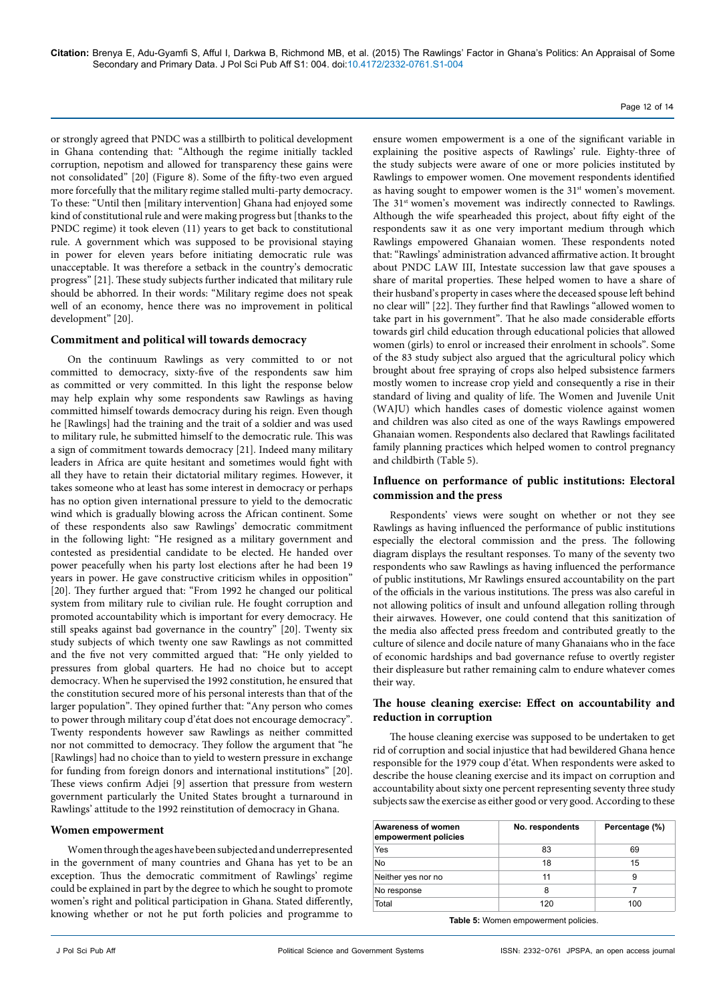or strongly agreed that PNDC was a stillbirth to political development in Ghana contending that: "Although the regime initially tackled corruption, nepotism and allowed for transparency these gains were not consolidated" [20] (Figure 8). Some of the fifty-two even argued more forcefully that the military regime stalled multi-party democracy. To these: "Until then [military intervention] Ghana had enjoyed some kind of constitutional rule and were making progress but [thanks to the PNDC regime) it took eleven (11) years to get back to constitutional rule. A government which was supposed to be provisional staying in power for eleven years before initiating democratic rule was unacceptable. It was therefore a setback in the country's democratic progress" [21]. These study subjects further indicated that military rule should be abhorred. In their words: "Military regime does not speak well of an economy, hence there was no improvement in political development" [20].

## **Commitment and political will towards democracy**

On the continuum Rawlings as very committed to or not committed to democracy, sixty-five of the respondents saw him as committed or very committed. In this light the response below may help explain why some respondents saw Rawlings as having committed himself towards democracy during his reign. Even though he [Rawlings] had the training and the trait of a soldier and was used to military rule, he submitted himself to the democratic rule. This was a sign of commitment towards democracy [21]. Indeed many military leaders in Africa are quite hesitant and sometimes would fight with all they have to retain their dictatorial military regimes. However, it takes someone who at least has some interest in democracy or perhaps has no option given international pressure to yield to the democratic wind which is gradually blowing across the African continent. Some of these respondents also saw Rawlings' democratic commitment in the following light: "He resigned as a military government and contested as presidential candidate to be elected. He handed over power peacefully when his party lost elections after he had been 19 years in power. He gave constructive criticism whiles in opposition" [20]. They further argued that: "From 1992 he changed our political system from military rule to civilian rule. He fought corruption and promoted accountability which is important for every democracy*.* He still speaks against bad governance in the country" [20]. Twenty six study subjects of which twenty one saw Rawlings as not committed and the five not very committed argued that: "He only yielded to pressures from global quarters. He had no choice but to accept democracy. When he supervised the 1992 constitution, he ensured that the constitution secured more of his personal interests than that of the larger population". They opined further that: "Any person who comes to power through military coup d'état does not encourage democracy". Twenty respondents however saw Rawlings as neither committed nor not committed to democracy. They follow the argument that "he [Rawlings] had no choice than to yield to western pressure in exchange for funding from foreign donors and international institutions" [20]. These views confirm Adjei [9] assertion that pressure from western government particularly the United States brought a turnaround in Rawlings' attitude to the 1992 reinstitution of democracy in Ghana.

## **Women empowerment**

Women through the ages have been subjected and underrepresented in the government of many countries and Ghana has yet to be an exception. Thus the democratic commitment of Rawlings' regime could be explained in part by the degree to which he sought to promote women's right and political participation in Ghana. Stated differently, knowing whether or not he put forth policies and programme to

ensure women empowerment is a one of the significant variable in explaining the positive aspects of Rawlings' rule. Eighty-three of the study subjects were aware of one or more policies instituted by Rawlings to empower women. One movement respondents identified as having sought to empower women is the 31<sup>st</sup> women's movement. The 31<sup>st</sup> women's movement was indirectly connected to Rawlings. Although the wife spearheaded this project, about fifty eight of the respondents saw it as one very important medium through which Rawlings empowered Ghanaian women. These respondents noted that: "Rawlings' administration advanced affirmative action. It brought about PNDC LAW III, Intestate succession law that gave spouses a share of marital properties. These helped women to have a share of their husband's property in cases where the deceased spouse left behind no clear will" [22]. They further find that Rawlings "allowed women to take part in his government". That he also made considerable efforts towards girl child education through educational policies that allowed women (girls) to enrol or increased their enrolment in schools". Some of the 83 study subject also argued that the agricultural policy which brought about free spraying of crops also helped subsistence farmers mostly women to increase crop yield and consequently a rise in their standard of living and quality of life. The Women and Juvenile Unit (WAJU) which handles cases of domestic violence against women and children was also cited as one of the ways Rawlings empowered Ghanaian women. Respondents also declared that Rawlings facilitated family planning practices which helped women to control pregnancy and childbirth (Table 5).

Page 12 of 14

## **Influence on performance of public institutions: Electoral commission and the press**

Respondents' views were sought on whether or not they see Rawlings as having influenced the performance of public institutions especially the electoral commission and the press. The following diagram displays the resultant responses. To many of the seventy two respondents who saw Rawlings as having influenced the performance of public institutions, Mr Rawlings ensured accountability on the part of the officials in the various institutions. The press was also careful in not allowing politics of insult and unfound allegation rolling through their airwaves. However, one could contend that this sanitization of the media also affected press freedom and contributed greatly to the culture of silence and docile nature of many Ghanaians who in the face of economic hardships and bad governance refuse to overtly register their displeasure but rather remaining calm to endure whatever comes their way.

## **The house cleaning exercise: Effect on accountability and reduction in corruption**

The house cleaning exercise was supposed to be undertaken to get rid of corruption and social injustice that had bewildered Ghana hence responsible for the 1979 coup d'état. When respondents were asked to describe the house cleaning exercise and its impact on corruption and accountability about sixty one percent representing seventy three study subjects saw the exercise as either good or very good. According to these

| Awareness of women<br>empowerment policies | No. respondents | Percentage (%) |
|--------------------------------------------|-----------------|----------------|
| Yes                                        | 83              | 69             |
| No                                         | 18              | 15             |
| Neither yes nor no                         | 11              | 9              |
| No response                                | 8               |                |
| Total                                      | 120             | 100            |

**Table 5:** Women empowerment policies.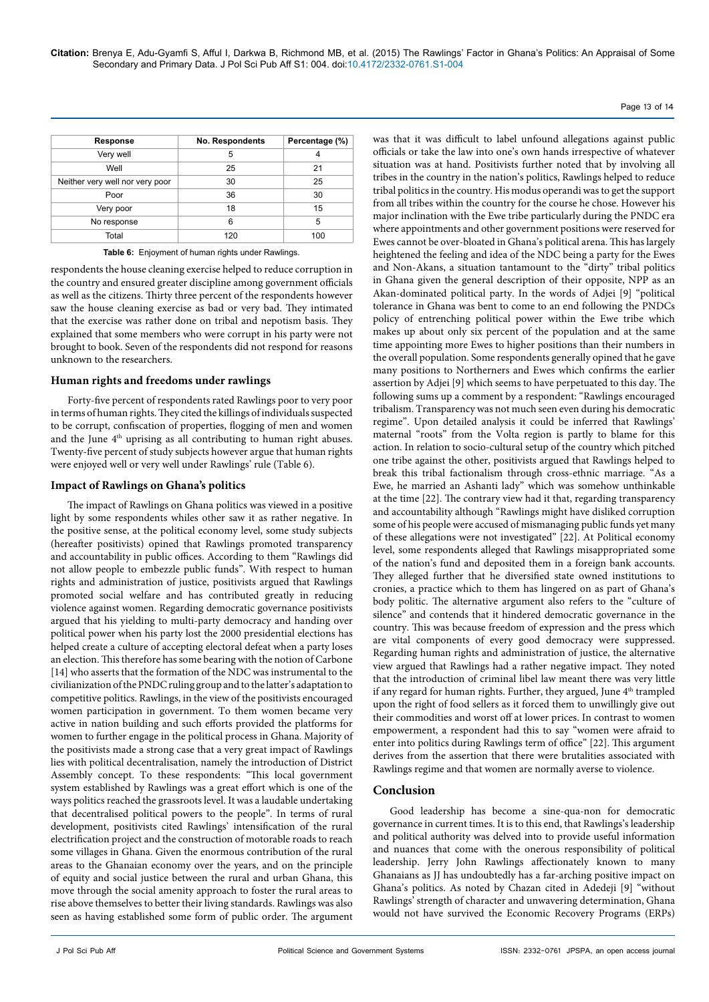| Page 13 of 14 |  |  |
|---------------|--|--|
|               |  |  |

| Response                        | No. Respondents | Percentage (%) |
|---------------------------------|-----------------|----------------|
| Very well                       | 5               | 4              |
| Well                            | 25              | 21             |
| Neither very well nor very poor | 30              | 25             |
| Poor                            | 36              | 30             |
| Very poor                       | 18              | 15             |
| No response                     | 6               | 5              |
| Total                           | 120             | 100            |

**Table 6:** Enjoyment of human rights under Rawlings.

respondents the house cleaning exercise helped to reduce corruption in the country and ensured greater discipline among government officials as well as the citizens. Thirty three percent of the respondents however saw the house cleaning exercise as bad or very bad. They intimated that the exercise was rather done on tribal and nepotism basis. They explained that some members who were corrupt in his party were not brought to book. Seven of the respondents did not respond for reasons unknown to the researchers.

#### **Human rights and freedoms under rawlings**

Forty-five percent of respondents rated Rawlings poor to very poor in terms of human rights. They cited the killings of individuals suspected to be corrupt, confiscation of properties, flogging of men and women and the June 4<sup>th</sup> uprising as all contributing to human right abuses. Twenty-five percent of study subjects however argue that human rights were enjoyed well or very well under Rawlings' rule (Table 6).

#### **Impact of Rawlings on Ghana's politics**

The impact of Rawlings on Ghana politics was viewed in a positive light by some respondents whiles other saw it as rather negative. In the positive sense, at the political economy level, some study subjects (hereafter positivists) opined that Rawlings promoted transparency and accountability in public offices. According to them "Rawlings did not allow people to embezzle public funds". With respect to human rights and administration of justice, positivists argued that Rawlings promoted social welfare and has contributed greatly in reducing violence against women. Regarding democratic governance positivists argued that his yielding to multi-party democracy and handing over political power when his party lost the 2000 presidential elections has helped create a culture of accepting electoral defeat when a party loses an election. This therefore has some bearing with the notion of Carbone [14] who asserts that the formation of the NDC was instrumental to the civilianization of the PNDC ruling group and to the latter's adaptation to competitive politics. Rawlings, in the view of the positivists encouraged women participation in government. To them women became very active in nation building and such efforts provided the platforms for women to further engage in the political process in Ghana. Majority of the positivists made a strong case that a very great impact of Rawlings lies with political decentralisation, namely the introduction of District Assembly concept. To these respondents: "This local government system established by Rawlings was a great effort which is one of the ways politics reached the grassroots level. It was a laudable undertaking that decentralised political powers to the people". In terms of rural development, positivists cited Rawlings' intensification of the rural electrification project and the construction of motorable roads to reach some villages in Ghana. Given the enormous contribution of the rural areas to the Ghanaian economy over the years, and on the principle of equity and social justice between the rural and urban Ghana, this move through the social amenity approach to foster the rural areas to rise above themselves to better their living standards. Rawlings was also seen as having established some form of public order. The argument was that it was difficult to label unfound allegations against public officials or take the law into one's own hands irrespective of whatever situation was at hand. Positivists further noted that by involving all tribes in the country in the nation's politics, Rawlings helped to reduce tribal politics in the country. His modus operandi was to get the support from all tribes within the country for the course he chose. However his major inclination with the Ewe tribe particularly during the PNDC era where appointments and other government positions were reserved for Ewes cannot be over-bloated in Ghana's political arena. This has largely heightened the feeling and idea of the NDC being a party for the Ewes and Non-Akans, a situation tantamount to the "dirty" tribal politics in Ghana given the general description of their opposite, NPP as an Akan-dominated political party. In the words of Adjei [9] "political tolerance in Ghana was bent to come to an end following the PNDCs policy of entrenching political power within the Ewe tribe which makes up about only six percent of the population and at the same time appointing more Ewes to higher positions than their numbers in the overall population. Some respondents generally opined that he gave many positions to Northerners and Ewes which confirms the earlier assertion by Adjei [9] which seems to have perpetuated to this day. The following sums up a comment by a respondent: "Rawlings encouraged tribalism. Transparency was not much seen even during his democratic regime". Upon detailed analysis it could be inferred that Rawlings' maternal "roots" from the Volta region is partly to blame for this action. In relation to socio-cultural setup of the country which pitched one tribe against the other, positivists argued that Rawlings helped to break this tribal factionalism through cross-ethnic marriage. "As a Ewe, he married an Ashanti lady" which was somehow unthinkable at the time [22]. The contrary view had it that, regarding transparency and accountability although "Rawlings might have disliked corruption some of his people were accused of mismanaging public funds yet many of these allegations were not investigated" [22]. At Political economy level, some respondents alleged that Rawlings misappropriated some of the nation's fund and deposited them in a foreign bank accounts. They alleged further that he diversified state owned institutions to cronies, a practice which to them has lingered on as part of Ghana's body politic. The alternative argument also refers to the "culture of silence" and contends that it hindered democratic governance in the country. This was because freedom of expression and the press which are vital components of every good democracy were suppressed. Regarding human rights and administration of justice, the alternative view argued that Rawlings had a rather negative impact. They noted that the introduction of criminal libel law meant there was very little if any regard for human rights. Further, they argued, June 4<sup>th</sup> trampled upon the right of food sellers as it forced them to unwillingly give out their commodities and worst off at lower prices. In contrast to women empowerment, a respondent had this to say "women were afraid to enter into politics during Rawlings term of office" [22]. This argument derives from the assertion that there were brutalities associated with Rawlings regime and that women are normally averse to violence.

## **Conclusion**

Good leadership has become a sine-qua-non for democratic governance in current times. It is to this end, that Rawlings's leadership and political authority was delved into to provide useful information and nuances that come with the onerous responsibility of political leadership. Jerry John Rawlings affectionately known to many Ghanaians as JJ has undoubtedly has a far-arching positive impact on Ghana's politics. As noted by Chazan cited in Adedeji [9] "without Rawlings' strength of character and unwavering determination, Ghana would not have survived the Economic Recovery Programs (ERPs)